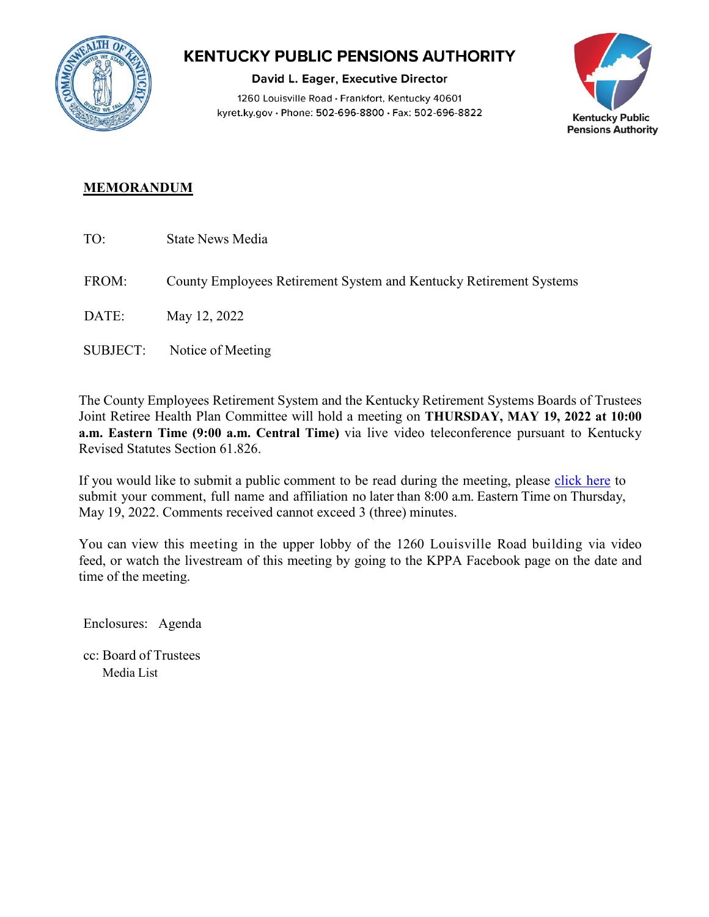

## **KENTUCKY PUBLIC PENSIONS AUTHORITY**

David L. Eager, Executive Director 1260 Louisville Road · Frankfort, Kentucky 40601 kyret.ky.gov · Phone: 502-696-8800 · Fax: 502-696-8822



## **MEMORANDUM**

- TO: State News Media
- FROM: County Employees Retirement System and Kentucky Retirement Systems

DATE: May 12, 2022

SUBJECT: Notice of Meeting

The County Employees Retirement System and the Kentucky Retirement Systems Boards of Trustees Joint Retiree Health Plan Committee will hold a meeting on **THURSDAY, MAY 19, 2022 at 10:00 a.m. Eastern Time (9:00 a.m. Central Time)** via live video teleconference pursuant to Kentucky Revised Statutes Section 61.826.

If you would like to submit a public comment to be read during the meeting, please [click here](https://kyret.ky.gov/About/Pages/submit-public-meeting-comments.aspx) to submit your comment, full name and affiliation no later than 8:00 a.m. Eastern Time on Thursday, May 19, 2022. Comments received cannot exceed 3 (three) minutes.

You can view this meeting in the upper lobby of the 1260 Louisville Road building via video feed, or watch the livestream of this meeting by going to the KPPA Facebook page on the date and time of the meeting.

Enclosures: Agenda

cc: Board of Trustees Media List